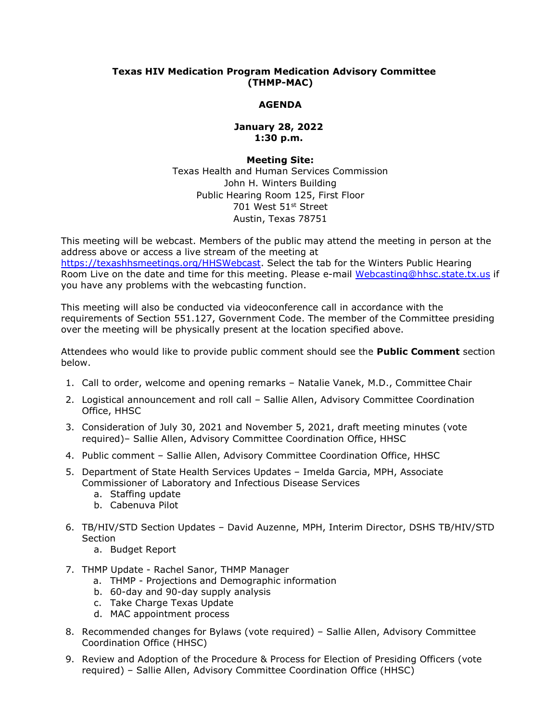## **Texas HIV Medication Program Medication Advisory Committee (THMP-MAC)**

# **AGENDA**

## **January 28, 2022 1:30 p.m.**

### **Meeting Site:**

Texas Health and Human Services Commission John H. Winters Building Public Hearing Room 125, First Floor 701 West 51st Street Austin, Texas 78751

This meeting will be webcast. Members of the public may attend the meeting in person at the address above or access a live stream of the meeting at [https://texashhsmeetings.org/HHSWebcast.](https://texashhsmeetings.org/HHSWebcast) Select the tab for the Winters Public Hearing Room Live on the date and time for this meeting. Please e-mail [Webcasting@hhsc.state.tx.us](mailto:Webcasting@hhsc.state.tx.us) if you have any problems with the webcasting function.

This meeting will also be conducted via videoconference call in accordance with the requirements of Section 551.127, Government Code. The member of the Committee presiding over the meeting will be physically present at the location specified above.

Attendees who would like to provide public comment should see the **Public Comment** section below.

- 1. Call to order, welcome and opening remarks Natalie Vanek, M.D., Committee Chair
- 2. Logistical announcement and roll call Sallie Allen, Advisory Committee Coordination Office, HHSC
- 3. Consideration of July 30, 2021 and November 5, 2021, draft meeting minutes (vote required)– Sallie Allen, Advisory Committee Coordination Office, HHSC
- 4. Public comment Sallie Allen, Advisory Committee Coordination Office, HHSC
- 5. Department of State Health Services Updates Imelda Garcia, MPH, Associate Commissioner of Laboratory and Infectious Disease Services
	- a. Staffing update
	- b. Cabenuva Pilot
- 6. TB/HIV/STD Section Updates David Auzenne, MPH, Interim Director, DSHS TB/HIV/STD Section
	- a. Budget Report
- 7. THMP Update Rachel Sanor, THMP Manager
	- a. THMP Projections and Demographic information
	- b. 60-day and 90-day supply analysis
	- c. Take Charge Texas Update
	- d. MAC appointment process
- 8. Recommended changes for Bylaws (vote required) Sallie Allen, Advisory Committee Coordination Office (HHSC)
- 9. Review and Adoption of the Procedure & Process for Election of Presiding Officers (vote required) – Sallie Allen, Advisory Committee Coordination Office (HHSC)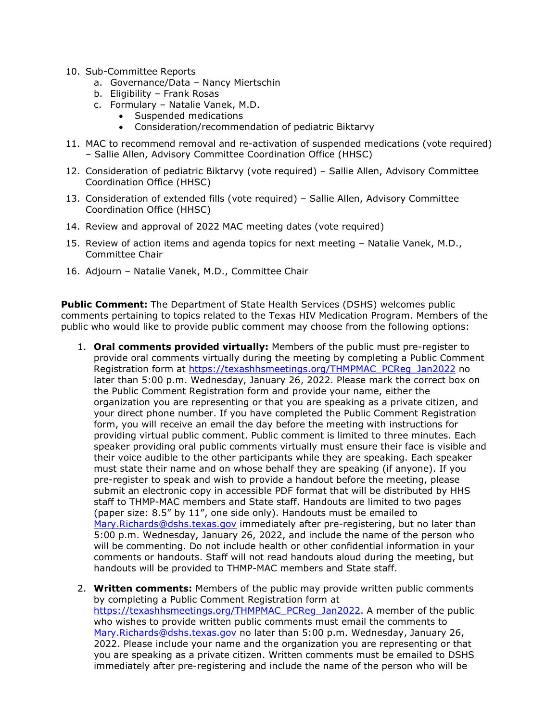- 10. Sub-Committee Reports
	- a. Governance/Data Nancy Miertschin
	- b. Eligibility Frank Rosas
	- c. Formulary Natalie Vanek, M.D.
		- Suspended medications
		- Consideration/recommendation of pediatric Biktarvy
- 11. MAC to recommend removal and re-activation of suspended medications (vote required) – Sallie Allen, Advisory Committee Coordination Office (HHSC)
- 12. Consideration of pediatric Biktarvy (vote required) Sallie Allen, Advisory Committee Coordination Office (HHSC)
- 13. Consideration of extended fills (vote required) Sallie Allen, Advisory Committee Coordination Office (HHSC)
- 14. Review and approval of 2022 MAC meeting dates (vote required)
- 15. Review of action items and agenda topics for next meeting Natalie Vanek, M.D., Committee Chair
- 16. Adjourn Natalie Vanek, M.D., Committee Chair

**Public Comment:** The Department of State Health Services (DSHS) welcomes public comments pertaining to topics related to the Texas HIV Medication Program. Members of the public who would like to provide public comment may choose from the following options:

- 1. **Oral comments provided virtually:** Members of the public must pre-register to provide oral comments virtually during the meeting by completing a Public Comment Registration form at [https://texashhsmeetings.org/THMPMAC\\_PCReg\\_Jan2022](https://texashhsmeetings.org/THMPMAC_PCReg_Jan2022) no later than 5:00 p.m. Wednesday, January 26, 2022. Please mark the correct box on the Public Comment Registration form and provide your name, either the organization you are representing or that you are speaking as a private citizen, and your direct phone number. If you have completed the Public Comment Registration form, you will receive an email the day before the meeting with instructions for providing virtual public comment. Public comment is limited to three minutes. Each speaker providing oral public comments virtually must ensure their face is visible and their voice audible to the other participants while they are speaking. Each speaker must state their name and on whose behalf they are speaking (if anyone). If you pre-register to speak and wish to provide a handout before the meeting, please submit an electronic copy in accessible PDF format that will be distributed by HHS staff to THMP-MAC members and State staff. Handouts are limited to two pages (paper size: 8.5" by 11", one side only). Handouts must be emailed to [Mary.Richards@dshs.texas.gov](mailto:Mary.Richards@dshs.texas.gov) immediately after pre-registering, but no later than 5:00 p.m. Wednesday, January 26, 2022, and include the name of the person who will be commenting. Do not include health or other confidential information in your comments or handouts. Staff will not read handouts aloud during the meeting, but handouts will be provided to THMP-MAC members and State staff.
- 2. **Written comments:** Members of the public may provide written public comments by completing a Public Comment Registration form at [https://texashhsmeetings.org/THMPMAC\\_PCReg\\_Jan2022.](https://texashhsmeetings.org/THMPMAC_PCReg_Jan2022) A member of the public who wishes to provide written public comments must email the comments to [Mary.Richards@dshs.texas.gov](mailto:Mary.Richards@dshs.texas.gov) no later than 5:00 p.m. Wednesday, January 26, 2022. Please include your name and the organization you are representing or that you are speaking as a private citizen. Written comments must be emailed to DSHS immediately after pre-registering and include the name of the person who will be